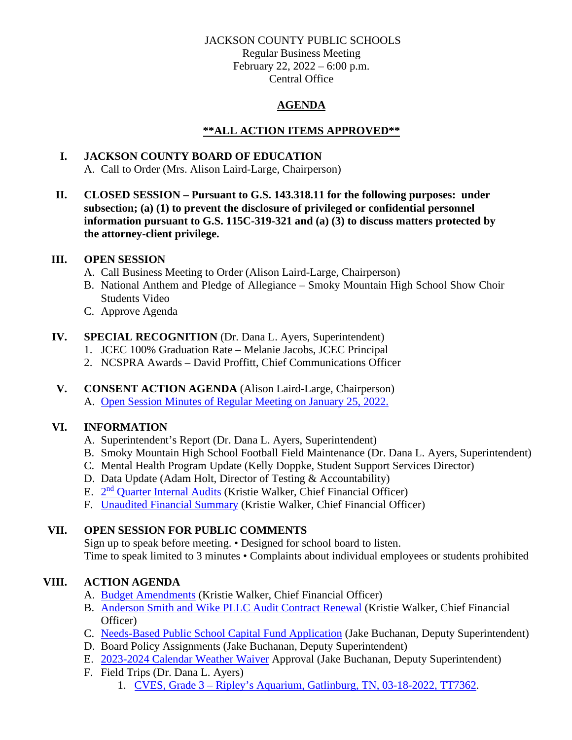#### JACKSON COUNTY PUBLIC SCHOOLS

Regular Business Meeting February 22, 2022 – 6:00 p.m. Central Office

# **AGENDA**

## **\*\*ALL ACTION ITEMS APPROVED\*\***

# **I. JACKSON COUNTY BOARD OF EDUCATION**

A. Call to Order (Mrs. Alison Laird-Large, Chairperson)

**II. CLOSED SESSION – Pursuant to G.S. 143.318.11 for the following purposes: under subsection; (a) (1) to prevent the disclosure of privileged or confidential personnel information pursuant to G.S. 115C-319-321 and (a) (3) to discuss matters protected by the attorney-client privilege.**

## **III. OPEN SESSION**

- A. Call Business Meeting to Order (Alison Laird-Large, Chairperson)
- B. National Anthem and Pledge of Allegiance Smoky Mountain High School Show Choir Students Video
- C. Approve Agenda

## **IV. SPECIAL RECOGNITION** (Dr. Dana L. Ayers, Superintendent)

- 1. JCEC 100% Graduation Rate Melanie Jacobs, JCEC Principal
- 2. NCSPRA Awards David Proffitt, Chief Communications Officer
- **V. CONSENT ACTION AGENDA** (Alison Laird-Large, Chairperson) A. [Open Session Minutes of Regular Meeting on January 25, 2022.](https://jcpsmail-my.sharepoint.com/:b:/g/personal/cfields_jcpsmail_org/Ed4O1UnMttFPjQnEny8umbEBxNDAO1HW2X4qt2l9UOD0AQ?e=FaNzdU)

## **VI. INFORMATION**

- A. Superintendent's Report (Dr. Dana L. Ayers, Superintendent)
- B. Smoky Mountain High School Football Field Maintenance (Dr. Dana L. Ayers, Superintendent)
- C. Mental Health Program Update (Kelly Doppke, Student Support Services Director)
- D. Data Update (Adam Holt, Director of Testing & Accountability)
- E. 2<sup>nd</sup> [Quarter Internal Audits](https://jcpsmail-my.sharepoint.com/:b:/g/personal/cfields_jcpsmail_org/EXvAP13FLhJBuhmD19NJUf0Byf0ESZkMe97JwDP_-HY1rA?e=24eghY) (Kristie Walker, Chief Financial Officer)
- F. Unaudited [Financial Summary](https://jcpsmail-my.sharepoint.com/:b:/g/personal/cfields_jcpsmail_org/EchKLDepd4RGr3dgUjeHangBlznGMbW8fNB9vdn8yOlMpg?e=FAA7AU) (Kristie Walker, Chief Financial Officer)

## **VII. OPEN SESSION FOR PUBLIC COMMENTS**

Sign up to speak before meeting. • Designed for school board to listen. Time to speak limited to 3 minutes • Complaints about individual employees or students prohibited

# **VIII. ACTION AGENDA**

- A. [Budget Amendments](https://jcpsmail-my.sharepoint.com/:b:/g/personal/cfields_jcpsmail_org/EZ2JT-lYEzBPqDopzPUTGxoBl32odcLuyOr1G6Xz8S5F3w?e=AKtvdo) (Kristie Walker, Chief Financial Officer)
- B. [Anderson Smith and Wike PLLC Audit Contract Renewal](https://jcpsmail-my.sharepoint.com/:b:/g/personal/cfields_jcpsmail_org/EQXs1KciXLJAlyT5BzKwIU4BLQAi107jR91TkQJftZvebA?e=cgYeuL) (Kristie Walker, Chief Financial Officer)
- C. [Needs-Based Public School Capital Fund Application](https://jcpsmail-my.sharepoint.com/:b:/g/personal/cfields_jcpsmail_org/EVB84k4wrWpLuGlEx2mQePwBwGHT7i564aPtjpKCJO2nbA?e=o7gTXi) (Jake Buchanan, Deputy Superintendent)
- D. Board Policy Assignments (Jake Buchanan, Deputy Superintendent)
- E. 2023-2024 [Calendar Weather Waiver](https://jcpsmail-my.sharepoint.com/:b:/g/personal/cfields_jcpsmail_org/EUpybp7MSrdNvjnAiwZ1MP8BksemysNPLHXArN8Y_GoIkw?e=NiuYot) Approval (Jake Buchanan, Deputy Superintendent)
- F. Field Trips (Dr. Dana L. Ayers)
	- 1. CVES, Grade 3 [Ripley's Aquarium, Gatlinburg, TN, 03-18-2022, TT7362.](https://jcpsmail-my.sharepoint.com/:b:/g/personal/cfields_jcpsmail_org/EYcOSxt4muBJn883JYVIsIoBP716xuLdqkoWxxzZBFnaMA?e=LJV6z0)